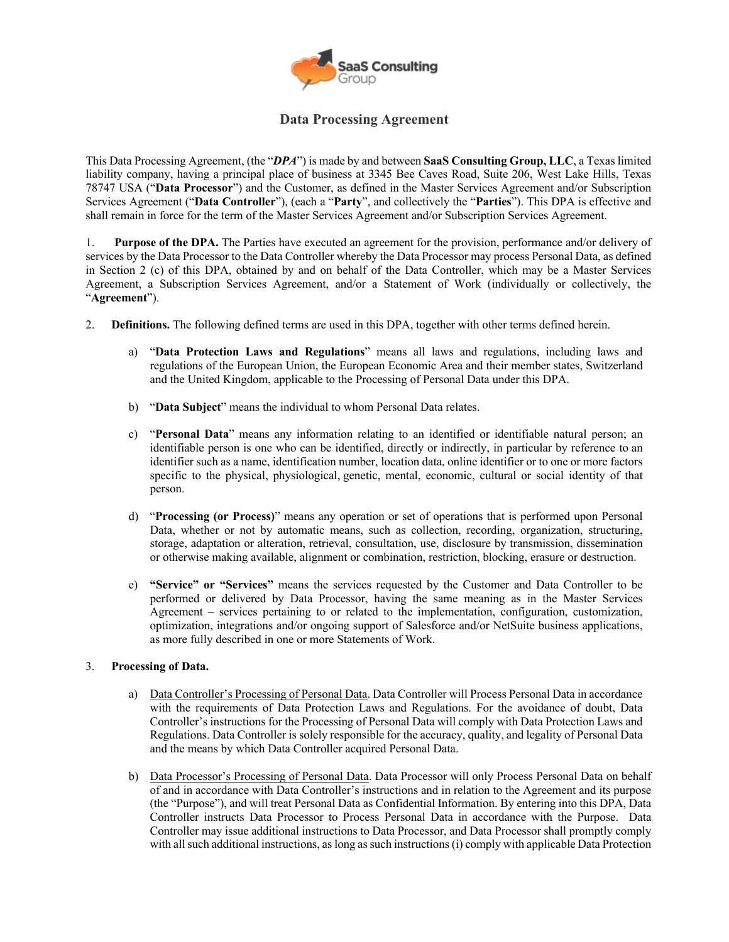

# **Data Processing Agreement**

This Data Processing Agreement, (the "*DPA*") is made by and between **SaaS Consulting Group, LLC**, a Texas limited liability company, having a principal place of business at 3345 Bee Caves Road, Suite 206, West Lake Hills, Texas 78747 USA ("**Data Processor**") and the Customer, as defined in the Master Services Agreement and/or Subscription Services Agreement ("**Data Controller**"), (each a "**Party**", and collectively the "**Parties**"). This DPA is effective and shall remain in force for the term of the Master Services Agreement and/or Subscription Services Agreement.

1. **Purpose of the DPA.** The Parties have executed an agreement for the provision, performance and/or delivery of services by the Data Processor to the Data Controller whereby the Data Processor may process Personal Data, as defined in Section 2 (c) of this DPA, obtained by and on behalf of the Data Controller, which may be a Master Services Agreement, a Subscription Services Agreement, and/or a Statement of Work (individually or collectively, the "**Agreement**").

- 2. **Definitions.** The following defined terms are used in this DPA, together with other terms defined herein.
	- a) "**Data Protection Laws and Regulations**" means all laws and regulations, including laws and regulations of the European Union, the European Economic Area and their member states, Switzerland and the United Kingdom, applicable to the Processing of Personal Data under this DPA.
	- b) "**Data Subject**" means the individual to whom Personal Data relates.
	- c) "**Personal Data**" means any information relating to an identified or identifiable natural person; an identifiable person is one who can be identified, directly or indirectly, in particular by reference to an identifier such as a name, identification number, location data, online identifier or to one or more factors specific to the physical, physiological, genetic, mental, economic, cultural or social identity of that person.
	- d) "**Processing (or Process)**" means any operation or set of operations that is performed upon Personal Data, whether or not by automatic means, such as collection, recording, organization, structuring, storage, adaptation or alteration, retrieval, consultation, use, disclosure by transmission, dissemination or otherwise making available, alignment or combination, restriction, blocking, erasure or destruction.
	- e) **"Service" or "Services"** means the services requested by the Customer and Data Controller to be performed or delivered by Data Processor, having the same meaning as in the Master Services Agreement – services pertaining to or related to the implementation, configuration, customization, optimization, integrations and/or ongoing support of Salesforce and/or NetSuite business applications, as more fully described in one or more Statements of Work.

# 3. **Processing of Data.**

- a) Data Controller's Processing of Personal Data. Data Controller will Process Personal Data in accordance with the requirements of Data Protection Laws and Regulations. For the avoidance of doubt, Data Controller's instructions for the Processing of Personal Data will comply with Data Protection Laws and Regulations. Data Controller is solely responsible for the accuracy, quality, and legality of Personal Data and the means by which Data Controller acquired Personal Data.
- b) Data Processor's Processing of Personal Data. Data Processor will only Process Personal Data on behalf of and in accordance with Data Controller's instructions and in relation to the Agreement and its purpose (the "Purpose"), and will treat Personal Data as Confidential Information. By entering into this DPA, Data Controller instructs Data Processor to Process Personal Data in accordance with the Purpose. Data Controller may issue additional instructions to Data Processor, and Data Processor shall promptly comply with all such additional instructions, as long as such instructions (i) comply with applicable Data Protection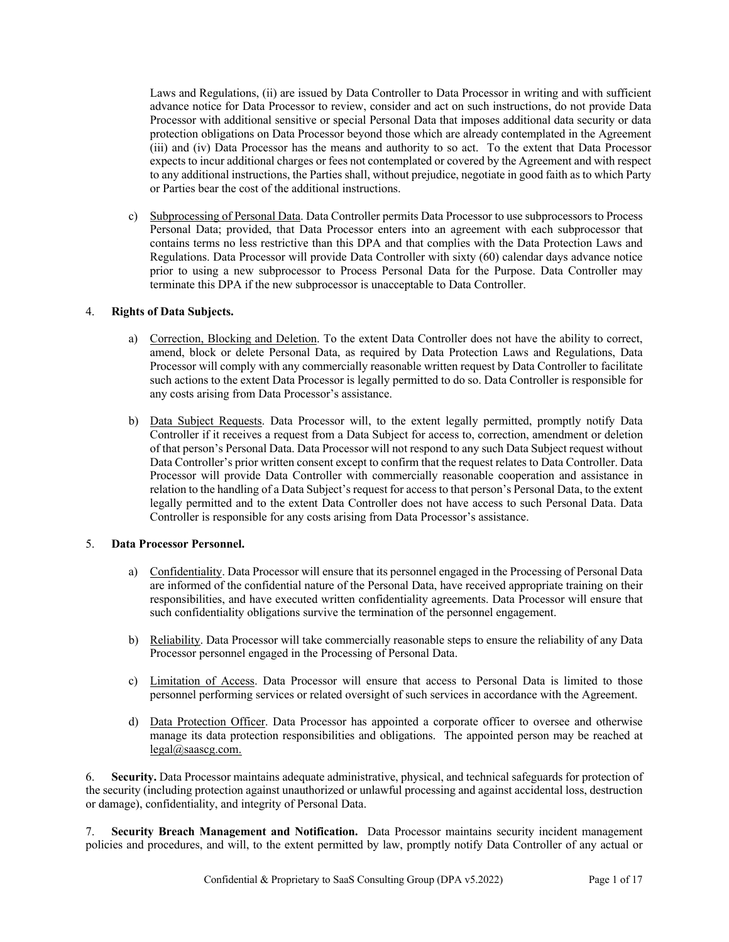Laws and Regulations, (ii) are issued by Data Controller to Data Processor in writing and with sufficient advance notice for Data Processor to review, consider and act on such instructions, do not provide Data Processor with additional sensitive or special Personal Data that imposes additional data security or data protection obligations on Data Processor beyond those which are already contemplated in the Agreement (iii) and (iv) Data Processor has the means and authority to so act. To the extent that Data Processor expects to incur additional charges or fees not contemplated or covered by the Agreement and with respect to any additional instructions, the Parties shall, without prejudice, negotiate in good faith as to which Party or Parties bear the cost of the additional instructions.

c) Subprocessing of Personal Data. Data Controller permits Data Processor to use subprocessors to Process Personal Data; provided, that Data Processor enters into an agreement with each subprocessor that contains terms no less restrictive than this DPA and that complies with the Data Protection Laws and Regulations. Data Processor will provide Data Controller with sixty (60) calendar days advance notice prior to using a new subprocessor to Process Personal Data for the Purpose. Data Controller may terminate this DPA if the new subprocessor is unacceptable to Data Controller.

# 4. **Rights of Data Subjects.**

- a) Correction, Blocking and Deletion. To the extent Data Controller does not have the ability to correct, amend, block or delete Personal Data, as required by Data Protection Laws and Regulations, Data Processor will comply with any commercially reasonable written request by Data Controller to facilitate such actions to the extent Data Processor is legally permitted to do so. Data Controller is responsible for any costs arising from Data Processor's assistance.
- b) Data Subject Requests. Data Processor will, to the extent legally permitted, promptly notify Data Controller if it receives a request from a Data Subject for access to, correction, amendment or deletion of that person's Personal Data. Data Processor will not respond to any such Data Subject request without Data Controller's prior written consent except to confirm that the request relates to Data Controller. Data Processor will provide Data Controller with commercially reasonable cooperation and assistance in relation to the handling of a Data Subject's request for access to that person's Personal Data, to the extent legally permitted and to the extent Data Controller does not have access to such Personal Data. Data Controller is responsible for any costs arising from Data Processor's assistance.

# 5. **Data Processor Personnel.**

- a) Confidentiality. Data Processor will ensure that its personnel engaged in the Processing of Personal Data are informed of the confidential nature of the Personal Data, have received appropriate training on their responsibilities, and have executed written confidentiality agreements. Data Processor will ensure that such confidentiality obligations survive the termination of the personnel engagement.
- b) Reliability. Data Processor will take commercially reasonable steps to ensure the reliability of any Data Processor personnel engaged in the Processing of Personal Data.
- c) Limitation of Access. Data Processor will ensure that access to Personal Data is limited to those personnel performing services or related oversight of such services in accordance with the Agreement.
- d) Data Protection Officer. Data Processor has appointed a corporate officer to oversee and otherwise manage its data protection responsibilities and obligations. The appointed person may be reached at legal@saascg.com.

6. **Security.** Data Processor maintains adequate administrative, physical, and technical safeguards for protection of the security (including protection against unauthorized or unlawful processing and against accidental loss, destruction or damage), confidentiality, and integrity of Personal Data.

7. **Security Breach Management and Notification.** Data Processor maintains security incident management policies and procedures, and will, to the extent permitted by law, promptly notify Data Controller of any actual or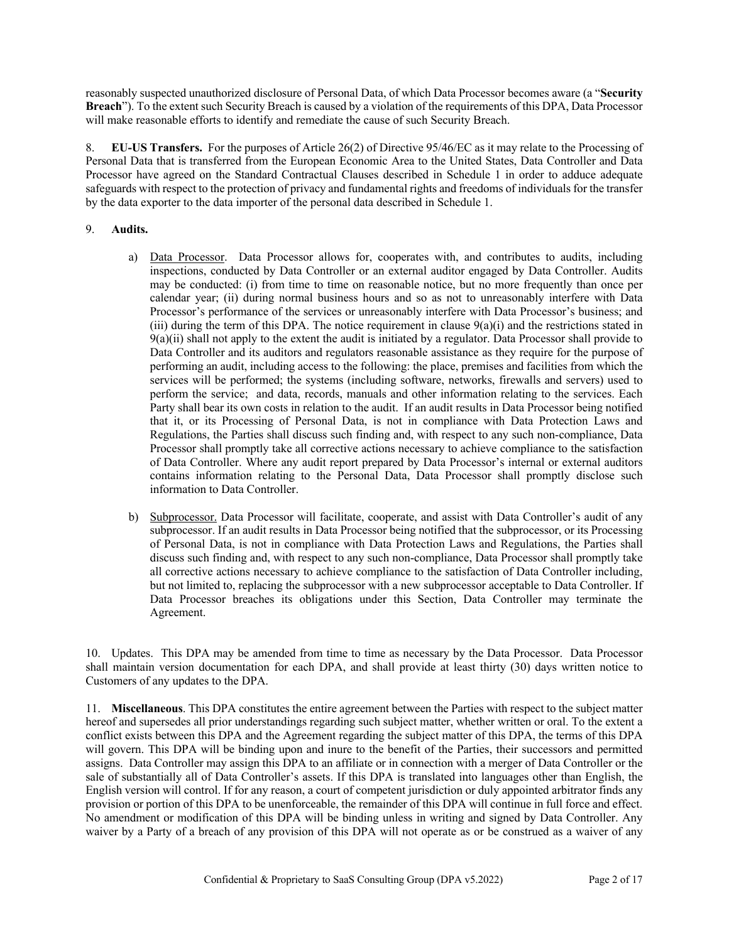reasonably suspected unauthorized disclosure of Personal Data, of which Data Processor becomes aware (a "**Security Breach**"). To the extent such Security Breach is caused by a violation of the requirements of this DPA, Data Processor will make reasonable efforts to identify and remediate the cause of such Security Breach.

8. **EU-US Transfers.** For the purposes of Article 26(2) of Directive 95/46/EC as it may relate to the Processing of Personal Data that is transferred from the European Economic Area to the United States, Data Controller and Data Processor have agreed on the Standard Contractual Clauses described in Schedule 1 in order to adduce adequate safeguards with respect to the protection of privacy and fundamental rights and freedoms of individuals for the transfer by the data exporter to the data importer of the personal data described in Schedule 1.

# 9. **Audits.**

- a) Data Processor. Data Processor allows for, cooperates with, and contributes to audits, including inspections, conducted by Data Controller or an external auditor engaged by Data Controller. Audits may be conducted: (i) from time to time on reasonable notice, but no more frequently than once per calendar year; (ii) during normal business hours and so as not to unreasonably interfere with Data Processor's performance of the services or unreasonably interfere with Data Processor's business; and (iii) during the term of this DPA. The notice requirement in clause  $9(a)(i)$  and the restrictions stated in 9(a)(ii) shall not apply to the extent the audit is initiated by a regulator. Data Processor shall provide to Data Controller and its auditors and regulators reasonable assistance as they require for the purpose of performing an audit, including access to the following: the place, premises and facilities from which the services will be performed; the systems (including software, networks, firewalls and servers) used to perform the service; and data, records, manuals and other information relating to the services. Each Party shall bear its own costs in relation to the audit. If an audit results in Data Processor being notified that it, or its Processing of Personal Data, is not in compliance with Data Protection Laws and Regulations, the Parties shall discuss such finding and, with respect to any such non-compliance, Data Processor shall promptly take all corrective actions necessary to achieve compliance to the satisfaction of Data Controller. Where any audit report prepared by Data Processor's internal or external auditors contains information relating to the Personal Data, Data Processor shall promptly disclose such information to Data Controller.
- b) Subprocessor. Data Processor will facilitate, cooperate, and assist with Data Controller's audit of any subprocessor. If an audit results in Data Processor being notified that the subprocessor, or its Processing of Personal Data, is not in compliance with Data Protection Laws and Regulations, the Parties shall discuss such finding and, with respect to any such non-compliance, Data Processor shall promptly take all corrective actions necessary to achieve compliance to the satisfaction of Data Controller including, but not limited to, replacing the subprocessor with a new subprocessor acceptable to Data Controller. If Data Processor breaches its obligations under this Section, Data Controller may terminate the Agreement.

10. Updates. This DPA may be amended from time to time as necessary by the Data Processor. Data Processor shall maintain version documentation for each DPA, and shall provide at least thirty (30) days written notice to Customers of any updates to the DPA.

11. **Miscellaneous**. This DPA constitutes the entire agreement between the Parties with respect to the subject matter hereof and supersedes all prior understandings regarding such subject matter, whether written or oral. To the extent a conflict exists between this DPA and the Agreement regarding the subject matter of this DPA, the terms of this DPA will govern. This DPA will be binding upon and inure to the benefit of the Parties, their successors and permitted assigns. Data Controller may assign this DPA to an affiliate or in connection with a merger of Data Controller or the sale of substantially all of Data Controller's assets. If this DPA is translated into languages other than English, the English version will control. If for any reason, a court of competent jurisdiction or duly appointed arbitrator finds any provision or portion of this DPA to be unenforceable, the remainder of this DPA will continue in full force and effect. No amendment or modification of this DPA will be binding unless in writing and signed by Data Controller. Any waiver by a Party of a breach of any provision of this DPA will not operate as or be construed as a waiver of any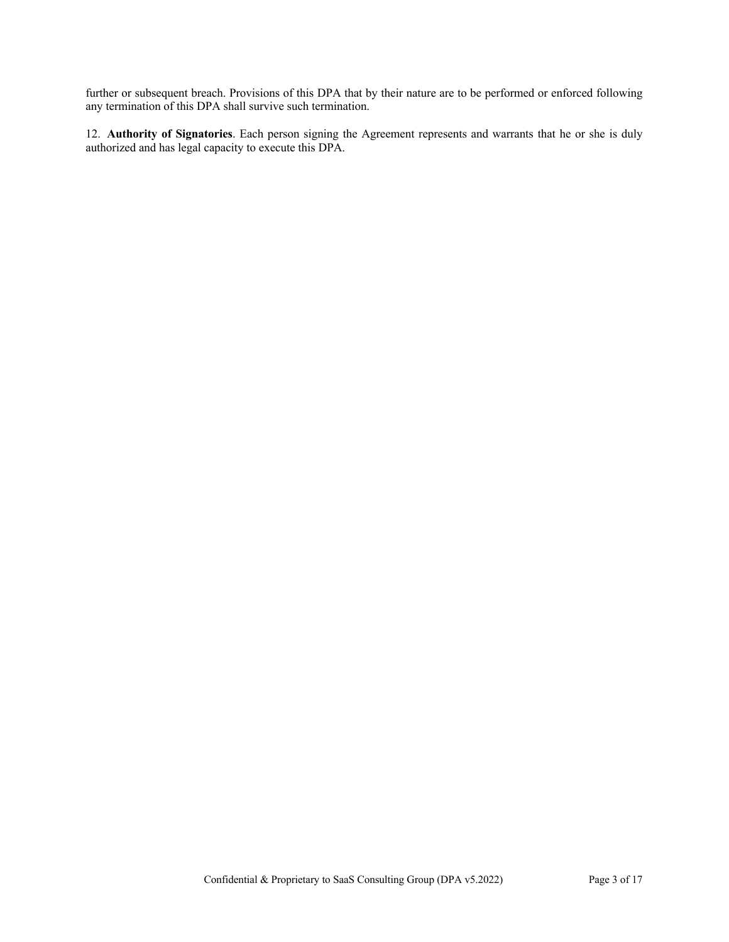further or subsequent breach. Provisions of this DPA that by their nature are to be performed or enforced following any termination of this DPA shall survive such termination.

12. **Authority of Signatories**. Each person signing the Agreement represents and warrants that he or she is duly authorized and has legal capacity to execute this DPA.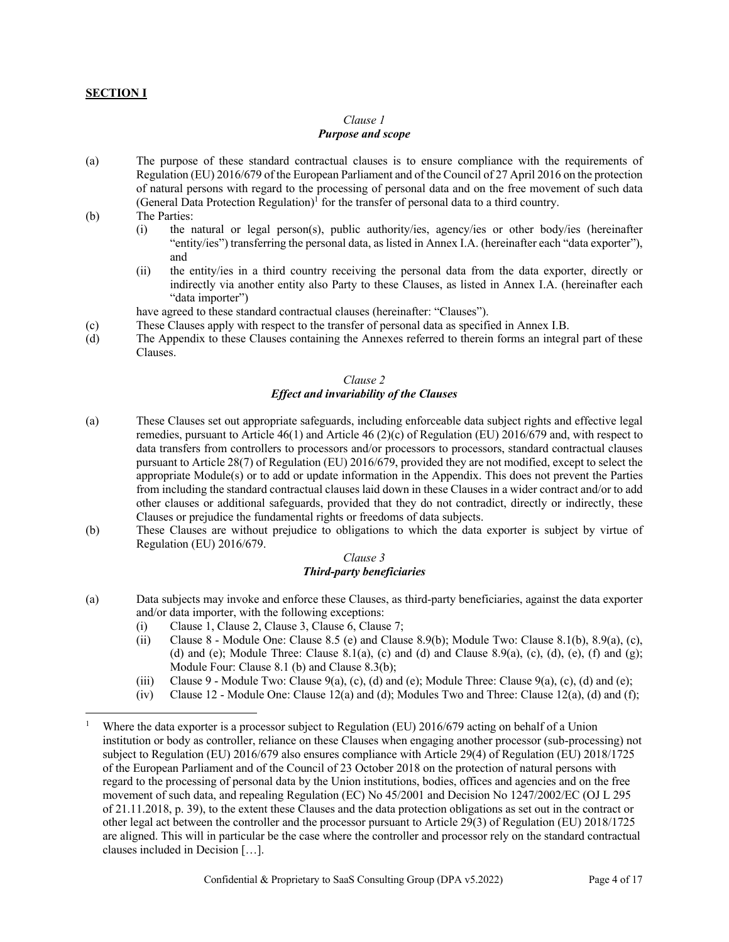# **SECTION I**

# *Clause 1*

# *Purpose and scope*

- (a) The purpose of these standard contractual clauses is to ensure compliance with the requirements of Regulation (EU) 2016/679 of the European Parliament and of the Council of 27 April 2016 on the protection of natural persons with regard to the processing of personal data and on the free movement of such data (General Data Protection Regulation)<sup>1</sup> for the transfer of personal data to a third country.
- (b) The Parties:
	- (i) the natural or legal person(s), public authority/ies, agency/ies or other body/ies (hereinafter "entity/ies") transferring the personal data, as listed in Annex I.A. (hereinafter each "data exporter"), and
	- (ii) the entity/ies in a third country receiving the personal data from the data exporter, directly or indirectly via another entity also Party to these Clauses, as listed in Annex I.A. (hereinafter each "data importer")
	- have agreed to these standard contractual clauses (hereinafter: "Clauses").
- (c) These Clauses apply with respect to the transfer of personal data as specified in Annex I.B.
- (d) The Appendix to these Clauses containing the Annexes referred to therein forms an integral part of these Clauses.

# *Clause 2*

# *Effect and invariability of the Clauses*

- (a) These Clauses set out appropriate safeguards, including enforceable data subject rights and effective legal remedies, pursuant to Article 46(1) and Article 46 (2)(c) of Regulation (EU) 2016/679 and, with respect to data transfers from controllers to processors and/or processors to processors, standard contractual clauses pursuant to Article 28(7) of Regulation (EU) 2016/679, provided they are not modified, except to select the appropriate Module(s) or to add or update information in the Appendix. This does not prevent the Parties from including the standard contractual clauses laid down in these Clauses in a wider contract and/or to add other clauses or additional safeguards, provided that they do not contradict, directly or indirectly, these Clauses or prejudice the fundamental rights or freedoms of data subjects.
- (b) These Clauses are without prejudice to obligations to which the data exporter is subject by virtue of Regulation (EU) 2016/679.

#### *Clause 3 Third-party beneficiaries*

- (a) Data subjects may invoke and enforce these Clauses, as third-party beneficiaries, against the data exporter and/or data importer, with the following exceptions:
	- (i) Clause 1, Clause 2, Clause 3, Clause 6, Clause 7;
	- (ii) Clause 8 Module One: Clause 8.5 (e) and Clause 8.9(b); Module Two: Clause 8.1(b),  $8.9(a)$ , (c), (d) and (e); Module Three: Clause  $8.1(a)$ , (c) and (d) and Clause  $8.9(a)$ , (c), (d), (e), (f) and (g); Module Four: Clause 8.1 (b) and Clause 8.3(b);
	- (iii) Clause 9 Module Two: Clause 9(a), (c), (d) and (e); Module Three: Clause 9(a), (c), (d) and (e);
	- (iv) Clause 12 Module One: Clause 12(a) and (d); Modules Two and Three: Clause 12(a), (d) and (f);

Where the data exporter is a processor subject to Regulation (EU) 2016/679 acting on behalf of a Union institution or body as controller, reliance on these Clauses when engaging another processor (sub-processing) not subject to Regulation (EU) 2016/679 also ensures compliance with Article 29(4) of Regulation (EU) 2018/1725 of the European Parliament and of the Council of 23 October 2018 on the protection of natural persons with regard to the processing of personal data by the Union institutions, bodies, offices and agencies and on the free movement of such data, and repealing Regulation (EC) No 45/2001 and Decision No 1247/2002/EC (OJ L 295 of 21.11.2018, p. 39), to the extent these Clauses and the data protection obligations as set out in the contract or other legal act between the controller and the processor pursuant to Article 29(3) of Regulation (EU) 2018/1725 are aligned. This will in particular be the case where the controller and processor rely on the standard contractual clauses included in Decision […].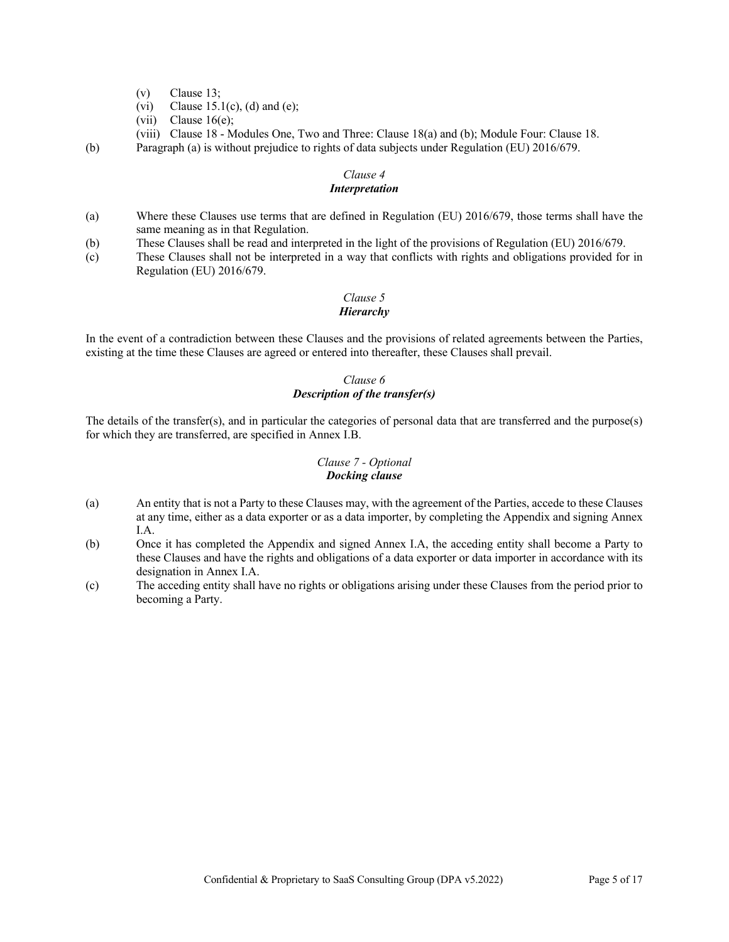- (v) Clause 13;
- (vi) Clause 15.1(c), (d) and (e);
- (vii) Clause  $16(e)$ ;
- (viii) Clause 18 Modules One, Two and Three: Clause 18(a) and (b); Module Four: Clause 18.
- (b) Paragraph (a) is without prejudice to rights of data subjects under Regulation (EU) 2016/679.

#### *Clause 4*

# *Interpretation*

- (a) Where these Clauses use terms that are defined in Regulation (EU) 2016/679, those terms shall have the same meaning as in that Regulation.
- (b) These Clauses shall be read and interpreted in the light of the provisions of Regulation (EU) 2016/679.
- (c) These Clauses shall not be interpreted in a way that conflicts with rights and obligations provided for in Regulation (EU) 2016/679.

# *Clause 5*

# *Hierarchy*

In the event of a contradiction between these Clauses and the provisions of related agreements between the Parties, existing at the time these Clauses are agreed or entered into thereafter, these Clauses shall prevail.

# *Clause 6 Description of the transfer(s)*

The details of the transfer(s), and in particular the categories of personal data that are transferred and the purpose(s) for which they are transferred, are specified in Annex I.B.

# *Clause 7 - Optional Docking clause*

- (a) An entity that is not a Party to these Clauses may, with the agreement of the Parties, accede to these Clauses at any time, either as a data exporter or as a data importer, by completing the Appendix and signing Annex I.A.
- (b) Once it has completed the Appendix and signed Annex I.A, the acceding entity shall become a Party to these Clauses and have the rights and obligations of a data exporter or data importer in accordance with its designation in Annex I.A.
- (c) The acceding entity shall have no rights or obligations arising under these Clauses from the period prior to becoming a Party.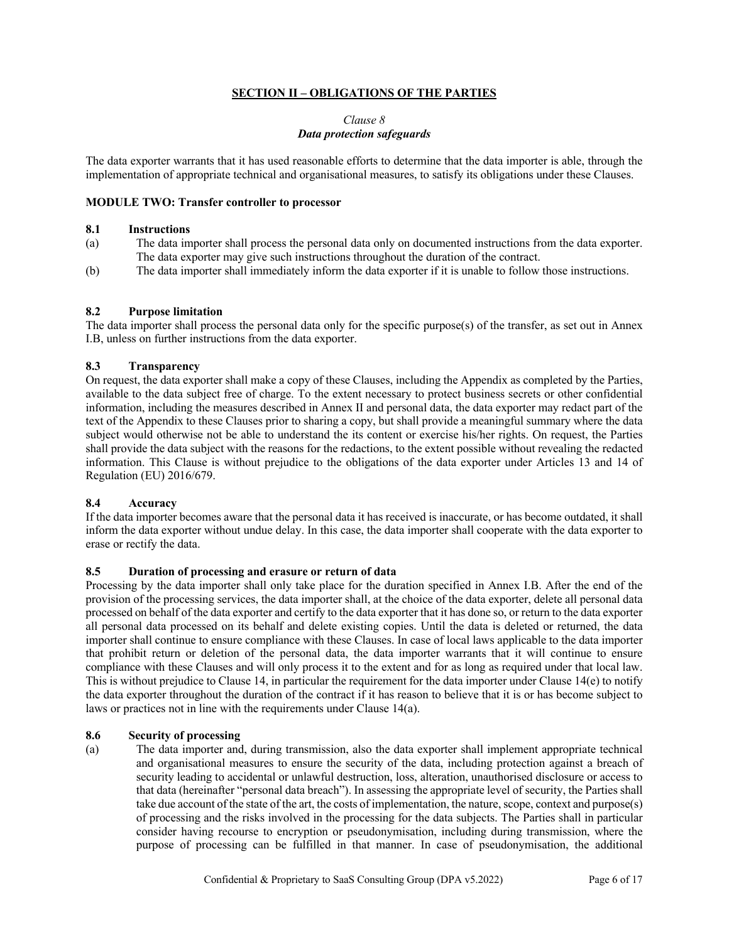# **SECTION II – OBLIGATIONS OF THE PARTIES**

# *Clause 8 Data protection safeguards*

The data exporter warrants that it has used reasonable efforts to determine that the data importer is able, through the implementation of appropriate technical and organisational measures, to satisfy its obligations under these Clauses.

#### **MODULE TWO: Transfer controller to processor**

#### **8.1 Instructions**

- (a) The data importer shall process the personal data only on documented instructions from the data exporter. The data exporter may give such instructions throughout the duration of the contract.
- (b) The data importer shall immediately inform the data exporter if it is unable to follow those instructions.

#### **8.2 Purpose limitation**

The data importer shall process the personal data only for the specific purpose(s) of the transfer, as set out in Annex I.B, unless on further instructions from the data exporter.

#### **8.3 Transparency**

On request, the data exporter shall make a copy of these Clauses, including the Appendix as completed by the Parties, available to the data subject free of charge. To the extent necessary to protect business secrets or other confidential information, including the measures described in Annex II and personal data, the data exporter may redact part of the text of the Appendix to these Clauses prior to sharing a copy, but shall provide a meaningful summary where the data subject would otherwise not be able to understand the its content or exercise his/her rights. On request, the Parties shall provide the data subject with the reasons for the redactions, to the extent possible without revealing the redacted information. This Clause is without prejudice to the obligations of the data exporter under Articles 13 and 14 of Regulation (EU) 2016/679.

## **8.4 Accuracy**

If the data importer becomes aware that the personal data it has received is inaccurate, or has become outdated, it shall inform the data exporter without undue delay. In this case, the data importer shall cooperate with the data exporter to erase or rectify the data.

#### **8.5 Duration of processing and erasure or return of data**

Processing by the data importer shall only take place for the duration specified in Annex I.B. After the end of the provision of the processing services, the data importer shall, at the choice of the data exporter, delete all personal data processed on behalf of the data exporter and certify to the data exporter that it has done so, or return to the data exporter all personal data processed on its behalf and delete existing copies. Until the data is deleted or returned, the data importer shall continue to ensure compliance with these Clauses. In case of local laws applicable to the data importer that prohibit return or deletion of the personal data, the data importer warrants that it will continue to ensure compliance with these Clauses and will only process it to the extent and for as long as required under that local law. This is without prejudice to Clause 14, in particular the requirement for the data importer under Clause  $14(e)$  to notify the data exporter throughout the duration of the contract if it has reason to believe that it is or has become subject to laws or practices not in line with the requirements under Clause 14(a).

#### **8.6 Security of processing**

(a) The data importer and, during transmission, also the data exporter shall implement appropriate technical and organisational measures to ensure the security of the data, including protection against a breach of security leading to accidental or unlawful destruction, loss, alteration, unauthorised disclosure or access to that data (hereinafter "personal data breach"). In assessing the appropriate level of security, the Parties shall take due account of the state of the art, the costs of implementation, the nature, scope, context and purpose(s) of processing and the risks involved in the processing for the data subjects. The Parties shall in particular consider having recourse to encryption or pseudonymisation, including during transmission, where the purpose of processing can be fulfilled in that manner. In case of pseudonymisation, the additional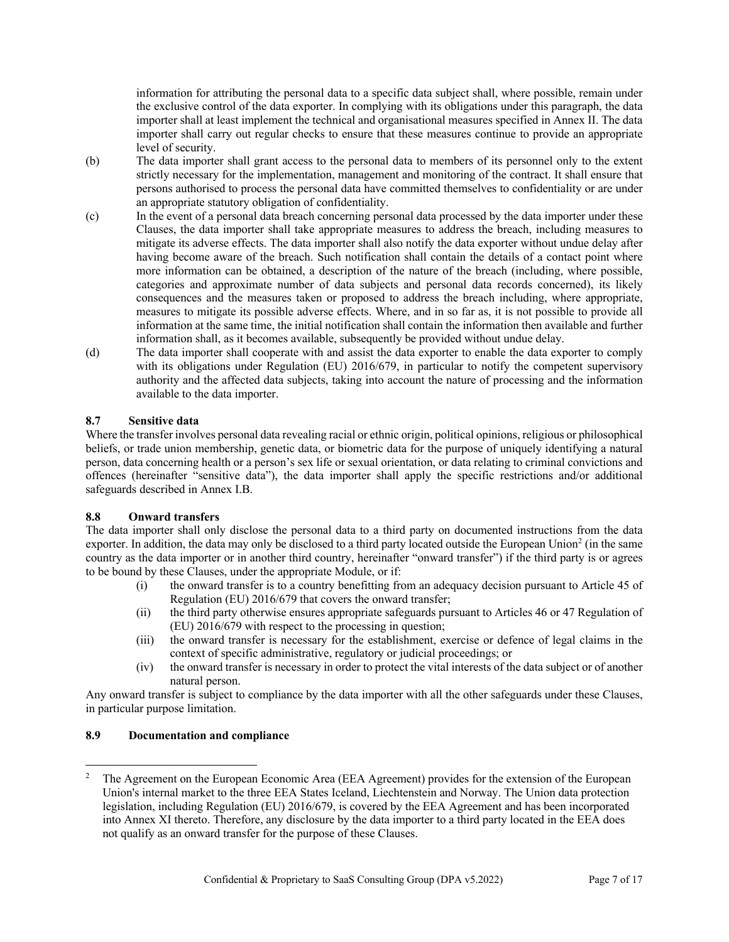information for attributing the personal data to a specific data subject shall, where possible, remain under the exclusive control of the data exporter. In complying with its obligations under this paragraph, the data importer shall at least implement the technical and organisational measures specified in Annex II. The data importer shall carry out regular checks to ensure that these measures continue to provide an appropriate level of security.

- (b) The data importer shall grant access to the personal data to members of its personnel only to the extent strictly necessary for the implementation, management and monitoring of the contract. It shall ensure that persons authorised to process the personal data have committed themselves to confidentiality or are under an appropriate statutory obligation of confidentiality.
- (c) In the event of a personal data breach concerning personal data processed by the data importer under these Clauses, the data importer shall take appropriate measures to address the breach, including measures to mitigate its adverse effects. The data importer shall also notify the data exporter without undue delay after having become aware of the breach. Such notification shall contain the details of a contact point where more information can be obtained, a description of the nature of the breach (including, where possible, categories and approximate number of data subjects and personal data records concerned), its likely consequences and the measures taken or proposed to address the breach including, where appropriate, measures to mitigate its possible adverse effects. Where, and in so far as, it is not possible to provide all information at the same time, the initial notification shall contain the information then available and further information shall, as it becomes available, subsequently be provided without undue delay.
- (d) The data importer shall cooperate with and assist the data exporter to enable the data exporter to comply with its obligations under Regulation (EU) 2016/679, in particular to notify the competent supervisory authority and the affected data subjects, taking into account the nature of processing and the information available to the data importer.

# **8.7 Sensitive data**

Where the transfer involves personal data revealing racial or ethnic origin, political opinions, religious or philosophical beliefs, or trade union membership, genetic data, or biometric data for the purpose of uniquely identifying a natural person, data concerning health or a person's sex life or sexual orientation, or data relating to criminal convictions and offences (hereinafter "sensitive data"), the data importer shall apply the specific restrictions and/or additional safeguards described in Annex I.B.

# **8.8 Onward transfers**

The data importer shall only disclose the personal data to a third party on documented instructions from the data exporter. In addition, the data may only be disclosed to a third party located outside the European Union<sup>2</sup> (in the same country as the data importer or in another third country, hereinafter "onward transfer") if the third party is or agrees to be bound by these Clauses, under the appropriate Module, or if:

- (i) the onward transfer is to a country benefitting from an adequacy decision pursuant to Article 45 of Regulation (EU) 2016/679 that covers the onward transfer;
- (ii) the third party otherwise ensures appropriate safeguards pursuant to Articles 46 or 47 Regulation of (EU) 2016/679 with respect to the processing in question;
- (iii) the onward transfer is necessary for the establishment, exercise or defence of legal claims in the context of specific administrative, regulatory or judicial proceedings; or
- (iv) the onward transfer is necessary in order to protect the vital interests of the data subject or of another natural person.

Any onward transfer is subject to compliance by the data importer with all the other safeguards under these Clauses, in particular purpose limitation.

# **8.9 Documentation and compliance**

<sup>&</sup>lt;sup>2</sup> The Agreement on the European Economic Area (EEA Agreement) provides for the extension of the European Union's internal market to the three EEA States Iceland, Liechtenstein and Norway. The Union data protection legislation, including Regulation (EU) 2016/679, is covered by the EEA Agreement and has been incorporated into Annex XI thereto. Therefore, any disclosure by the data importer to a third party located in the EEA does not qualify as an onward transfer for the purpose of these Clauses.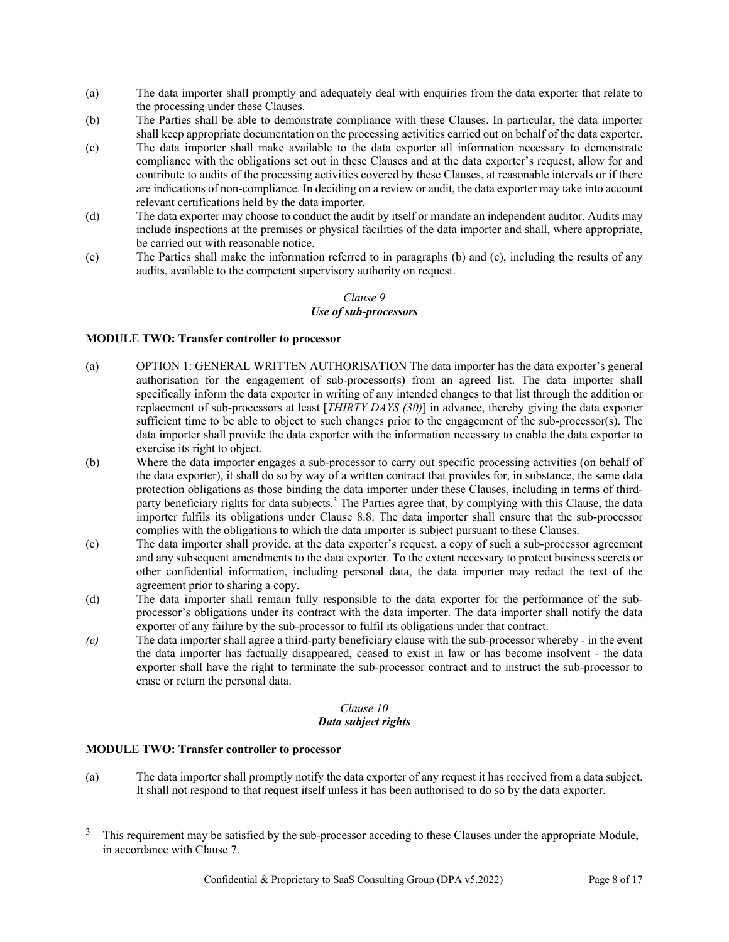- (a) The data importer shall promptly and adequately deal with enquiries from the data exporter that relate to the processing under these Clauses.
- (b) The Parties shall be able to demonstrate compliance with these Clauses. In particular, the data importer shall keep appropriate documentation on the processing activities carried out on behalf of the data exporter.
- (c) The data importer shall make available to the data exporter all information necessary to demonstrate compliance with the obligations set out in these Clauses and at the data exporter's request, allow for and contribute to audits of the processing activities covered by these Clauses, at reasonable intervals or if there are indications of non-compliance. In deciding on a review or audit, the data exporter may take into account relevant certifications held by the data importer.
- (d) The data exporter may choose to conduct the audit by itself or mandate an independent auditor. Audits may include inspections at the premises or physical facilities of the data importer and shall, where appropriate, be carried out with reasonable notice.
- (e) The Parties shall make the information referred to in paragraphs (b) and (c), including the results of any audits, available to the competent supervisory authority on request.

# *Clause 9 Use of sub-processors*

#### **MODULE TWO: Transfer controller to processor**

- (a) OPTION 1: GENERAL WRITTEN AUTHORISATION The data importer has the data exporter's general authorisation for the engagement of sub-processor(s) from an agreed list. The data importer shall specifically inform the data exporter in writing of any intended changes to that list through the addition or replacement of sub-processors at least [*THIRTY DAYS (30)*] in advance, thereby giving the data exporter sufficient time to be able to object to such changes prior to the engagement of the sub-processor(s). The data importer shall provide the data exporter with the information necessary to enable the data exporter to exercise its right to object.
- (b) Where the data importer engages a sub-processor to carry out specific processing activities (on behalf of the data exporter), it shall do so by way of a written contract that provides for, in substance, the same data protection obligations as those binding the data importer under these Clauses, including in terms of thirdparty beneficiary rights for data subjects.<sup>3</sup> The Parties agree that, by complying with this Clause, the data importer fulfils its obligations under Clause 8.8. The data importer shall ensure that the sub-processor complies with the obligations to which the data importer is subject pursuant to these Clauses.
- (c) The data importer shall provide, at the data exporter's request, a copy of such a sub-processor agreement and any subsequent amendments to the data exporter. To the extent necessary to protect business secrets or other confidential information, including personal data, the data importer may redact the text of the agreement prior to sharing a copy.
- (d) The data importer shall remain fully responsible to the data exporter for the performance of the subprocessor's obligations under its contract with the data importer. The data importer shall notify the data exporter of any failure by the sub-processor to fulfil its obligations under that contract.
- *(e)* The data importer shall agree a third-party beneficiary clause with the sub-processor whereby in the event the data importer has factually disappeared, ceased to exist in law or has become insolvent - the data exporter shall have the right to terminate the sub-processor contract and to instruct the sub-processor to erase or return the personal data.

# *Clause 10 Data subject rights*

#### **MODULE TWO: Transfer controller to processor**

(a) The data importer shall promptly notify the data exporter of any request it has received from a data subject. It shall not respond to that request itself unless it has been authorised to do so by the data exporter.

<sup>&</sup>lt;sup>3</sup> This requirement may be satisfied by the sub-processor acceding to these Clauses under the appropriate Module, in accordance with Clause 7.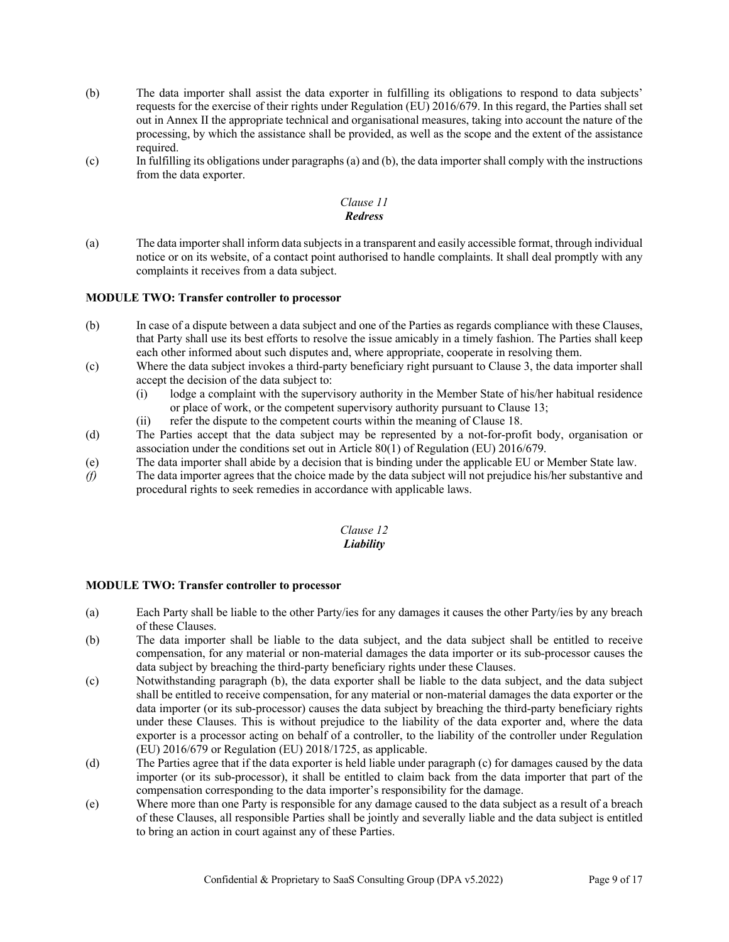- (b) The data importer shall assist the data exporter in fulfilling its obligations to respond to data subjects' requests for the exercise of their rights under Regulation (EU) 2016/679. In this regard, the Parties shall set out in Annex II the appropriate technical and organisational measures, taking into account the nature of the processing, by which the assistance shall be provided, as well as the scope and the extent of the assistance required.
- (c) In fulfilling its obligations under paragraphs (a) and (b), the data importer shall comply with the instructions from the data exporter.

#### *Clause 11 Redress*

(a) The data importer shall inform data subjects in a transparent and easily accessible format, through individual notice or on its website, of a contact point authorised to handle complaints. It shall deal promptly with any complaints it receives from a data subject.

# **MODULE TWO: Transfer controller to processor**

- (b) In case of a dispute between a data subject and one of the Parties as regards compliance with these Clauses, that Party shall use its best efforts to resolve the issue amicably in a timely fashion. The Parties shall keep each other informed about such disputes and, where appropriate, cooperate in resolving them.
- (c) Where the data subject invokes a third-party beneficiary right pursuant to Clause 3, the data importer shall accept the decision of the data subject to:
	- (i) lodge a complaint with the supervisory authority in the Member State of his/her habitual residence or place of work, or the competent supervisory authority pursuant to Clause 13;
	- (ii) refer the dispute to the competent courts within the meaning of Clause 18.
- (d) The Parties accept that the data subject may be represented by a not-for-profit body, organisation or association under the conditions set out in Article 80(1) of Regulation (EU) 2016/679.
- (e) The data importer shall abide by a decision that is binding under the applicable EU or Member State law.
- *(f)* The data importer agrees that the choice made by the data subject will not prejudice his/her substantive and procedural rights to seek remedies in accordance with applicable laws.

# *Clause 12*

# *Liability*

- (a) Each Party shall be liable to the other Party/ies for any damages it causes the other Party/ies by any breach of these Clauses.
- (b) The data importer shall be liable to the data subject, and the data subject shall be entitled to receive compensation, for any material or non-material damages the data importer or its sub-processor causes the data subject by breaching the third-party beneficiary rights under these Clauses.
- (c) Notwithstanding paragraph (b), the data exporter shall be liable to the data subject, and the data subject shall be entitled to receive compensation, for any material or non-material damages the data exporter or the data importer (or its sub-processor) causes the data subject by breaching the third-party beneficiary rights under these Clauses. This is without prejudice to the liability of the data exporter and, where the data exporter is a processor acting on behalf of a controller, to the liability of the controller under Regulation (EU) 2016/679 or Regulation (EU) 2018/1725, as applicable.
- (d) The Parties agree that if the data exporter is held liable under paragraph (c) for damages caused by the data importer (or its sub-processor), it shall be entitled to claim back from the data importer that part of the compensation corresponding to the data importer's responsibility for the damage.
- (e) Where more than one Party is responsible for any damage caused to the data subject as a result of a breach of these Clauses, all responsible Parties shall be jointly and severally liable and the data subject is entitled to bring an action in court against any of these Parties.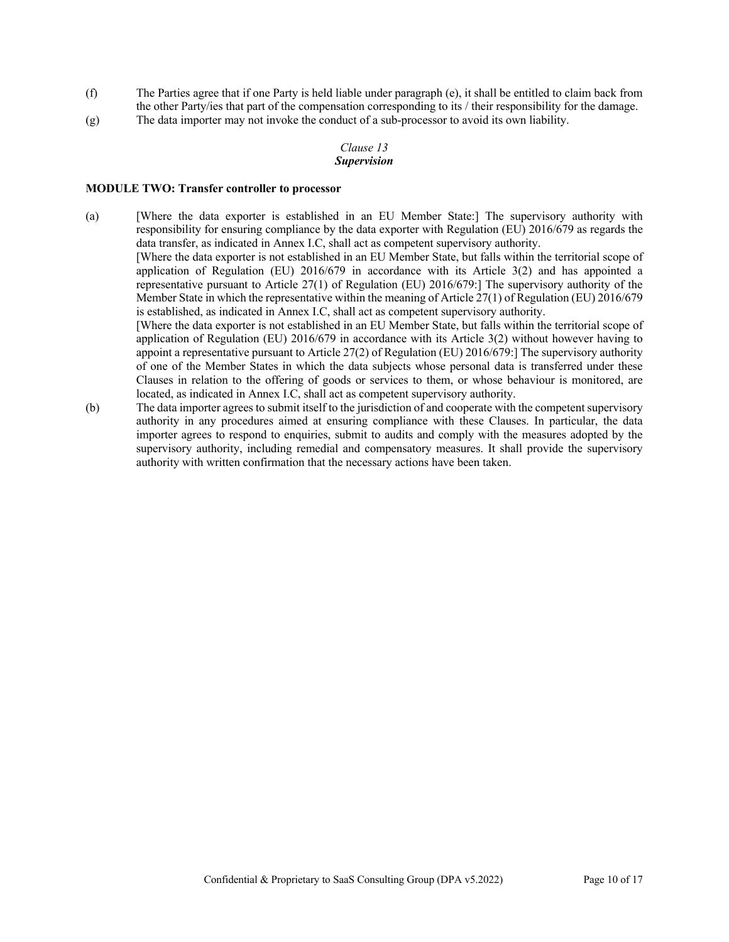- (f) The Parties agree that if one Party is held liable under paragraph (e), it shall be entitled to claim back from the other Party/ies that part of the compensation corresponding to its / their responsibility for the damage.
- (g) The data importer may not invoke the conduct of a sub-processor to avoid its own liability.

# *Clause 13 Supervision*

- (a) [Where the data exporter is established in an EU Member State:] The supervisory authority with responsibility for ensuring compliance by the data exporter with Regulation (EU) 2016/679 as regards the data transfer, as indicated in Annex I.C, shall act as competent supervisory authority. [Where the data exporter is not established in an EU Member State, but falls within the territorial scope of application of Regulation (EU) 2016/679 in accordance with its Article 3(2) and has appointed a representative pursuant to Article 27(1) of Regulation (EU) 2016/679:] The supervisory authority of the Member State in which the representative within the meaning of Article 27(1) of Regulation (EU) 2016/679 is established, as indicated in Annex I.C, shall act as competent supervisory authority. [Where the data exporter is not established in an EU Member State, but falls within the territorial scope of application of Regulation (EU) 2016/679 in accordance with its Article 3(2) without however having to appoint a representative pursuant to Article 27(2) of Regulation (EU) 2016/679:] The supervisory authority of one of the Member States in which the data subjects whose personal data is transferred under these Clauses in relation to the offering of goods or services to them, or whose behaviour is monitored, are located, as indicated in Annex I.C, shall act as competent supervisory authority.
- (b) The data importer agrees to submit itself to the jurisdiction of and cooperate with the competent supervisory authority in any procedures aimed at ensuring compliance with these Clauses. In particular, the data importer agrees to respond to enquiries, submit to audits and comply with the measures adopted by the supervisory authority, including remedial and compensatory measures. It shall provide the supervisory authority with written confirmation that the necessary actions have been taken.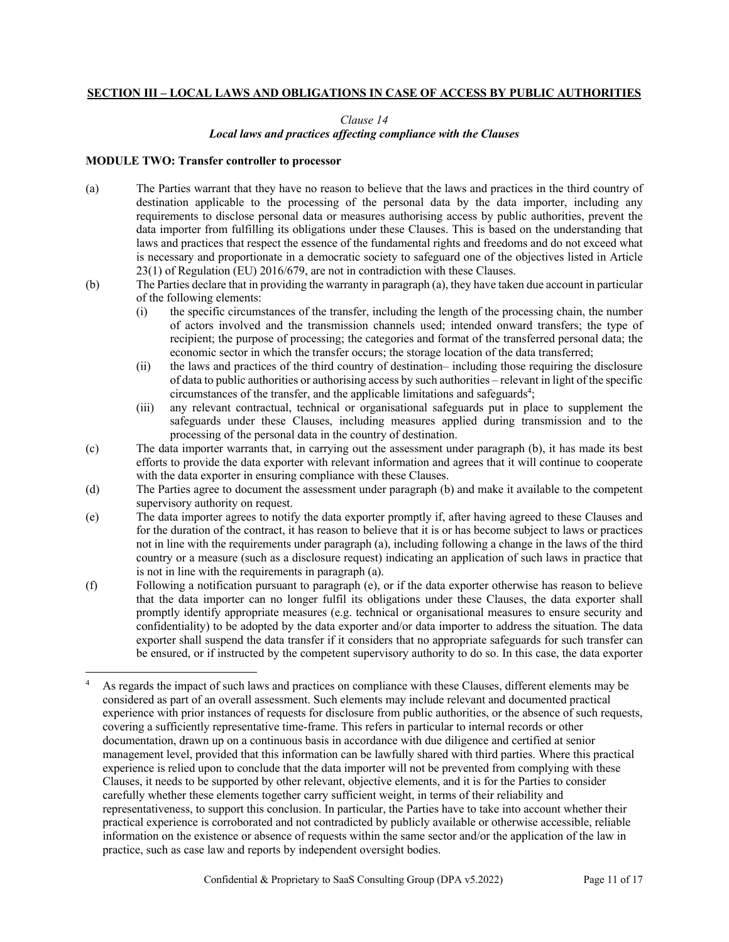# **SECTION III – LOCAL LAWS AND OBLIGATIONS IN CASE OF ACCESS BY PUBLIC AUTHORITIES**

#### *Clause 14*

## *Local laws and practices affecting compliance with the Clauses*

- (a) The Parties warrant that they have no reason to believe that the laws and practices in the third country of destination applicable to the processing of the personal data by the data importer, including any requirements to disclose personal data or measures authorising access by public authorities, prevent the data importer from fulfilling its obligations under these Clauses. This is based on the understanding that laws and practices that respect the essence of the fundamental rights and freedoms and do not exceed what is necessary and proportionate in a democratic society to safeguard one of the objectives listed in Article 23(1) of Regulation (EU) 2016/679, are not in contradiction with these Clauses.
- (b) The Parties declare that in providing the warranty in paragraph (a), they have taken due account in particular of the following elements:
	- (i) the specific circumstances of the transfer, including the length of the processing chain, the number of actors involved and the transmission channels used; intended onward transfers; the type of recipient; the purpose of processing; the categories and format of the transferred personal data; the economic sector in which the transfer occurs; the storage location of the data transferred;
	- (ii) the laws and practices of the third country of destination– including those requiring the disclosure of data to public authorities or authorising access by such authorities – relevant in light of the specific circumstances of the transfer, and the applicable limitations and safeguards<sup>4</sup>;
	- (iii) any relevant contractual, technical or organisational safeguards put in place to supplement the safeguards under these Clauses, including measures applied during transmission and to the processing of the personal data in the country of destination.
- (c) The data importer warrants that, in carrying out the assessment under paragraph (b), it has made its best efforts to provide the data exporter with relevant information and agrees that it will continue to cooperate with the data exporter in ensuring compliance with these Clauses.
- (d) The Parties agree to document the assessment under paragraph (b) and make it available to the competent supervisory authority on request.
- (e) The data importer agrees to notify the data exporter promptly if, after having agreed to these Clauses and for the duration of the contract, it has reason to believe that it is or has become subject to laws or practices not in line with the requirements under paragraph (a), including following a change in the laws of the third country or a measure (such as a disclosure request) indicating an application of such laws in practice that is not in line with the requirements in paragraph (a).
- (f) Following a notification pursuant to paragraph (e), or if the data exporter otherwise has reason to believe that the data importer can no longer fulfil its obligations under these Clauses, the data exporter shall promptly identify appropriate measures (e.g. technical or organisational measures to ensure security and confidentiality) to be adopted by the data exporter and/or data importer to address the situation. The data exporter shall suspend the data transfer if it considers that no appropriate safeguards for such transfer can be ensured, or if instructed by the competent supervisory authority to do so. In this case, the data exporter

<sup>4</sup> As regards the impact of such laws and practices on compliance with these Clauses, different elements may be considered as part of an overall assessment. Such elements may include relevant and documented practical experience with prior instances of requests for disclosure from public authorities, or the absence of such requests, covering a sufficiently representative time-frame. This refers in particular to internal records or other documentation, drawn up on a continuous basis in accordance with due diligence and certified at senior management level, provided that this information can be lawfully shared with third parties. Where this practical experience is relied upon to conclude that the data importer will not be prevented from complying with these Clauses, it needs to be supported by other relevant, objective elements, and it is for the Parties to consider carefully whether these elements together carry sufficient weight, in terms of their reliability and representativeness, to support this conclusion. In particular, the Parties have to take into account whether their practical experience is corroborated and not contradicted by publicly available or otherwise accessible, reliable information on the existence or absence of requests within the same sector and/or the application of the law in practice, such as case law and reports by independent oversight bodies.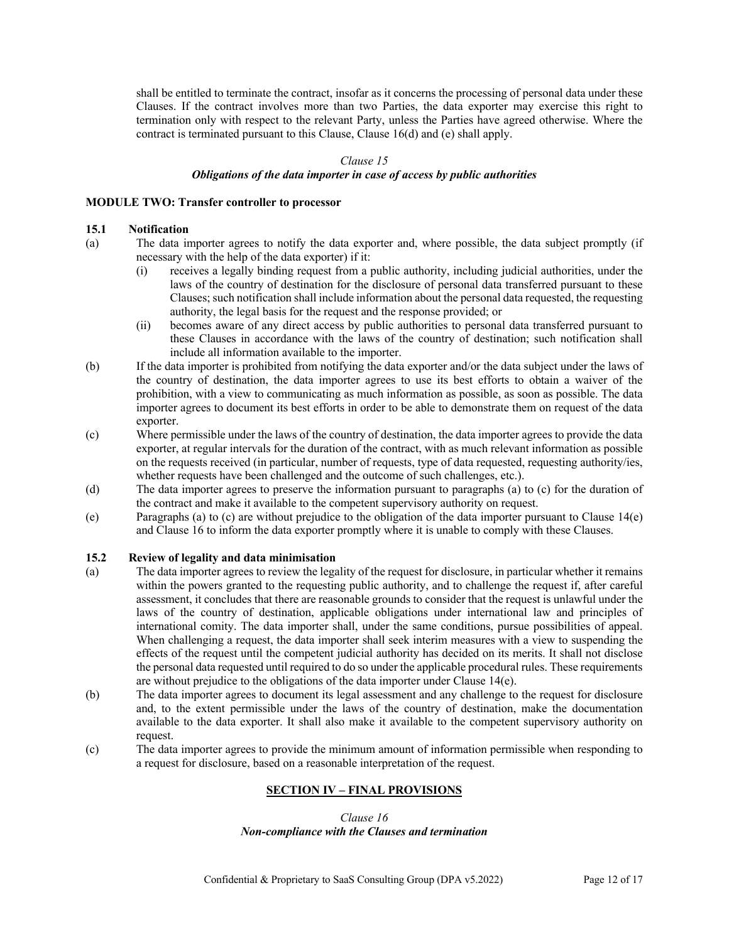shall be entitled to terminate the contract, insofar as it concerns the processing of personal data under these Clauses. If the contract involves more than two Parties, the data exporter may exercise this right to termination only with respect to the relevant Party, unless the Parties have agreed otherwise. Where the contract is terminated pursuant to this Clause, Clause 16(d) and (e) shall apply.

## *Clause 15*

# *Obligations of the data importer in case of access by public authorities*

## **MODULE TWO: Transfer controller to processor**

## **15.1 Notification**

- (a) The data importer agrees to notify the data exporter and, where possible, the data subject promptly (if necessary with the help of the data exporter) if it:
	- (i) receives a legally binding request from a public authority, including judicial authorities, under the laws of the country of destination for the disclosure of personal data transferred pursuant to these Clauses; such notification shall include information about the personal data requested, the requesting authority, the legal basis for the request and the response provided; or
	- (ii) becomes aware of any direct access by public authorities to personal data transferred pursuant to these Clauses in accordance with the laws of the country of destination; such notification shall include all information available to the importer.
- (b) If the data importer is prohibited from notifying the data exporter and/or the data subject under the laws of the country of destination, the data importer agrees to use its best efforts to obtain a waiver of the prohibition, with a view to communicating as much information as possible, as soon as possible. The data importer agrees to document its best efforts in order to be able to demonstrate them on request of the data exporter.
- (c) Where permissible under the laws of the country of destination, the data importer agrees to provide the data exporter, at regular intervals for the duration of the contract, with as much relevant information as possible on the requests received (in particular, number of requests, type of data requested, requesting authority/ies, whether requests have been challenged and the outcome of such challenges, etc.).
- (d) The data importer agrees to preserve the information pursuant to paragraphs (a) to (c) for the duration of the contract and make it available to the competent supervisory authority on request.
- (e) Paragraphs (a) to (c) are without prejudice to the obligation of the data importer pursuant to Clause 14(e) and Clause 16 to inform the data exporter promptly where it is unable to comply with these Clauses.

#### **15.2 Review of legality and data minimisation**

- (a) The data importer agrees to review the legality of the request for disclosure, in particular whether it remains within the powers granted to the requesting public authority, and to challenge the request if, after careful assessment, it concludes that there are reasonable grounds to consider that the request is unlawful under the laws of the country of destination, applicable obligations under international law and principles of international comity. The data importer shall, under the same conditions, pursue possibilities of appeal. When challenging a request, the data importer shall seek interim measures with a view to suspending the effects of the request until the competent judicial authority has decided on its merits. It shall not disclose the personal data requested until required to do so under the applicable procedural rules. These requirements are without prejudice to the obligations of the data importer under Clause 14(e).
- (b) The data importer agrees to document its legal assessment and any challenge to the request for disclosure and, to the extent permissible under the laws of the country of destination, make the documentation available to the data exporter. It shall also make it available to the competent supervisory authority on request.
- (c) The data importer agrees to provide the minimum amount of information permissible when responding to a request for disclosure, based on a reasonable interpretation of the request.

# **SECTION IV – FINAL PROVISIONS**

*Clause 16 Non-compliance with the Clauses and termination*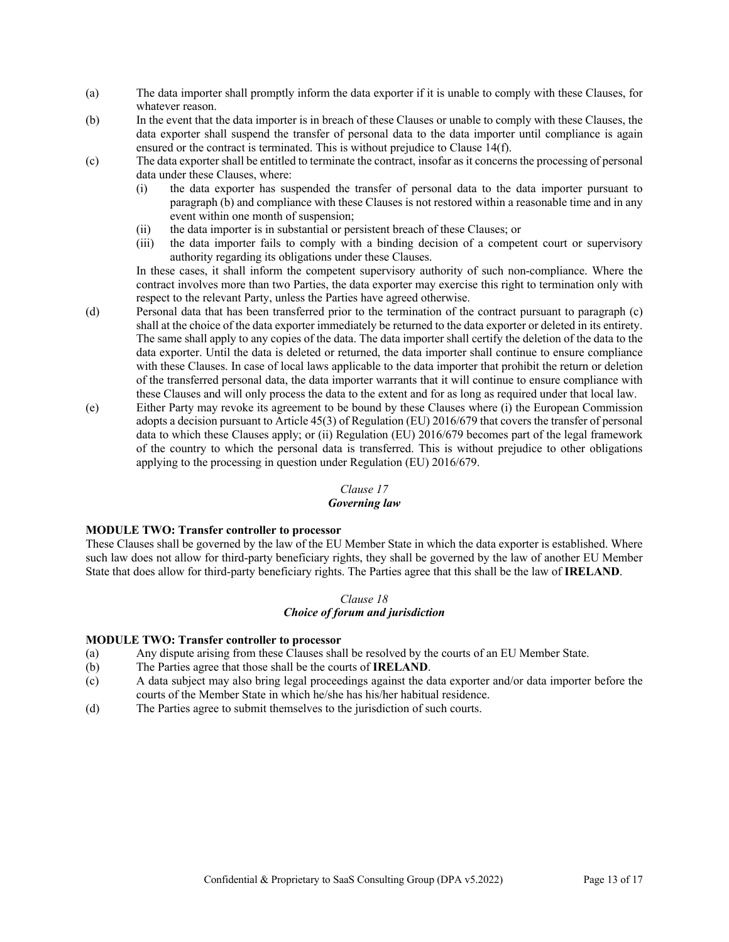- (a) The data importer shall promptly inform the data exporter if it is unable to comply with these Clauses, for whatever reason.
- (b) In the event that the data importer is in breach of these Clauses or unable to comply with these Clauses, the data exporter shall suspend the transfer of personal data to the data importer until compliance is again ensured or the contract is terminated. This is without prejudice to Clause 14(f).
- (c) The data exporter shall be entitled to terminate the contract, insofar as it concerns the processing of personal data under these Clauses, where:
	- (i) the data exporter has suspended the transfer of personal data to the data importer pursuant to paragraph (b) and compliance with these Clauses is not restored within a reasonable time and in any event within one month of suspension;
	- (ii) the data importer is in substantial or persistent breach of these Clauses; or
	- (iii) the data importer fails to comply with a binding decision of a competent court or supervisory authority regarding its obligations under these Clauses.

In these cases, it shall inform the competent supervisory authority of such non-compliance. Where the contract involves more than two Parties, the data exporter may exercise this right to termination only with respect to the relevant Party, unless the Parties have agreed otherwise.

- (d) Personal data that has been transferred prior to the termination of the contract pursuant to paragraph (c) shall at the choice of the data exporter immediately be returned to the data exporter or deleted in its entirety. The same shall apply to any copies of the data. The data importer shall certify the deletion of the data to the data exporter. Until the data is deleted or returned, the data importer shall continue to ensure compliance with these Clauses. In case of local laws applicable to the data importer that prohibit the return or deletion of the transferred personal data, the data importer warrants that it will continue to ensure compliance with these Clauses and will only process the data to the extent and for as long as required under that local law.
- (e) Either Party may revoke its agreement to be bound by these Clauses where (i) the European Commission adopts a decision pursuant to Article 45(3) of Regulation (EU) 2016/679 that covers the transfer of personal data to which these Clauses apply; or (ii) Regulation (EU) 2016/679 becomes part of the legal framework of the country to which the personal data is transferred. This is without prejudice to other obligations applying to the processing in question under Regulation (EU) 2016/679.

#### *Clause 17*

#### *Governing law*

#### **MODULE TWO: Transfer controller to processor**

These Clauses shall be governed by the law of the EU Member State in which the data exporter is established. Where such law does not allow for third-party beneficiary rights, they shall be governed by the law of another EU Member State that does allow for third-party beneficiary rights. The Parties agree that this shall be the law of **IRELAND**.

#### *Clause 18 Choice of forum and jurisdiction*

- (a) Any dispute arising from these Clauses shall be resolved by the courts of an EU Member State.
- (b) The Parties agree that those shall be the courts of **IRELAND**.
- (c) A data subject may also bring legal proceedings against the data exporter and/or data importer before the courts of the Member State in which he/she has his/her habitual residence.
- (d) The Parties agree to submit themselves to the jurisdiction of such courts.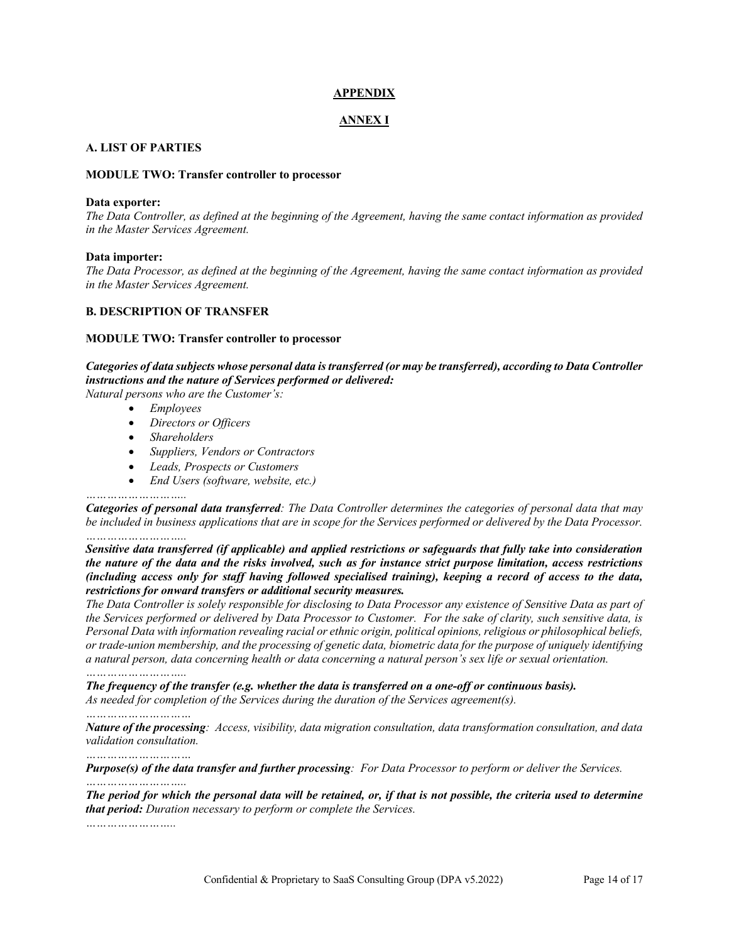#### **APPENDIX**

# **ANNEX I**

#### **A. LIST OF PARTIES**

#### **MODULE TWO: Transfer controller to processor**

#### **Data exporter:**

*The Data Controller, as defined at the beginning of the Agreement, having the same contact information as provided in the Master Services Agreement.*

#### **Data importer:**

*The Data Processor, as defined at the beginning of the Agreement, having the same contact information as provided in the Master Services Agreement.*

#### **B. DESCRIPTION OF TRANSFER**

#### **MODULE TWO: Transfer controller to processor**

*Categories of data subjects whose personal data is transferred (or may be transferred), according to Data Controller instructions and the nature of Services performed or delivered:*

*Natural persons who are the Customer's:*

- *Employees*
- *Directors or Officers*
- *Shareholders*
- *Suppliers, Vendors or Contractors*
- *Leads, Prospects or Customers*
- *End Users (software, website, etc.)*

*Categories of personal data transferred: The Data Controller determines the categories of personal data that may be included in business applications that are in scope for the Services performed or delivered by the Data Processor. ………………………..*

*Sensitive data transferred (if applicable) and applied restrictions or safeguards that fully take into consideration the nature of the data and the risks involved, such as for instance strict purpose limitation, access restrictions (including access only for staff having followed specialised training), keeping a record of access to the data, restrictions for onward transfers or additional security measures.*

*The Data Controller is solely responsible for disclosing to Data Processor any existence of Sensitive Data as part of the Services performed or delivered by Data Processor to Customer. For the sake of clarity, such sensitive data, is Personal Data with information revealing racial or ethnic origin, political opinions, religious or philosophical beliefs, or trade-union membership, and the processing of genetic data, biometric data for the purpose of uniquely identifying a natural person, data concerning health or data concerning a natural person's sex life or sexual orientation. ………………………..*

*The frequency of the transfer (e.g. whether the data is transferred on a one-off or continuous basis). As needed for completion of the Services during the duration of the Services agreement(s).*

*…………………………*

*………………………..*

*Nature of the processing: Access, visibility, data migration consultation, data transformation consultation, and data validation consultation.* 

*…………………………*

*Purpose(s) of the data transfer and further processing: For Data Processor to perform or deliver the Services.* 

*The period for which the personal data will be retained, or, if that is not possible, the criteria used to determine that period: Duration necessary to perform or complete the Services.* 

*……………………..*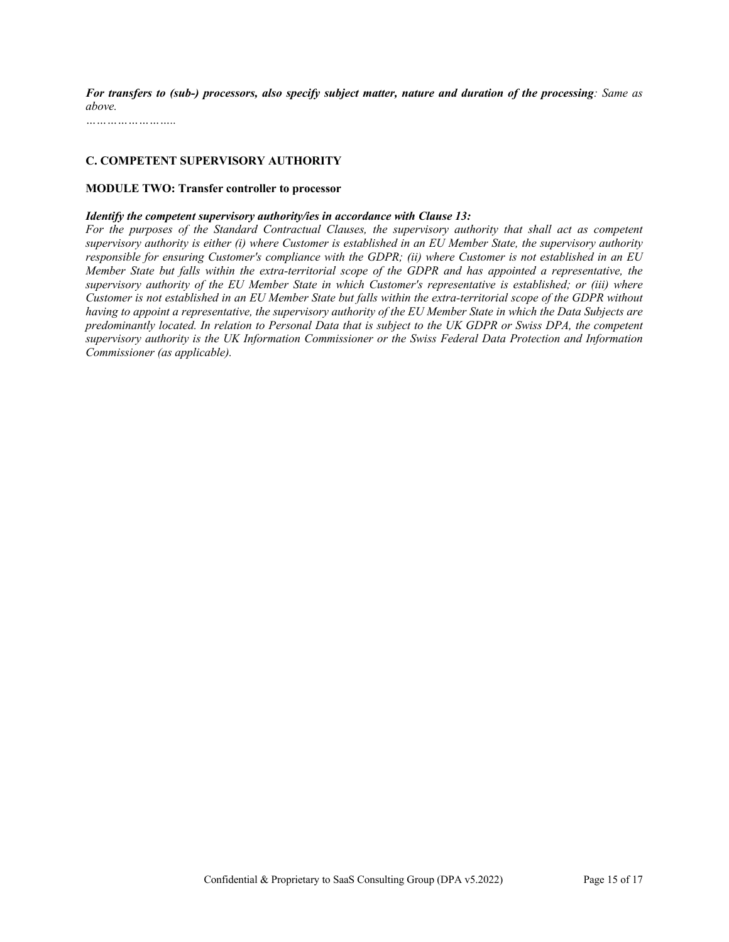*For transfers to (sub-) processors, also specify subject matter, nature and duration of the processing: Same as above.* 

*……………………..*

# **C. COMPETENT SUPERVISORY AUTHORITY**

#### **MODULE TWO: Transfer controller to processor**

#### *Identify the competent supervisory authority/ies in accordance with Clause 13:*

*For the purposes of the Standard Contractual Clauses, the supervisory authority that shall act as competent supervisory authority is either (i) where Customer is established in an EU Member State, the supervisory authority responsible for ensuring Customer's compliance with the GDPR; (ii) where Customer is not established in an EU Member State but falls within the extra-territorial scope of the GDPR and has appointed a representative, the supervisory authority of the EU Member State in which Customer's representative is established; or (iii) where Customer is not established in an EU Member State but falls within the extra-territorial scope of the GDPR without having to appoint a representative, the supervisory authority of the EU Member State in which the Data Subjects are predominantly located. In relation to Personal Data that is subject to the UK GDPR or Swiss DPA, the competent supervisory authority is the UK Information Commissioner or the Swiss Federal Data Protection and Information Commissioner (as applicable).*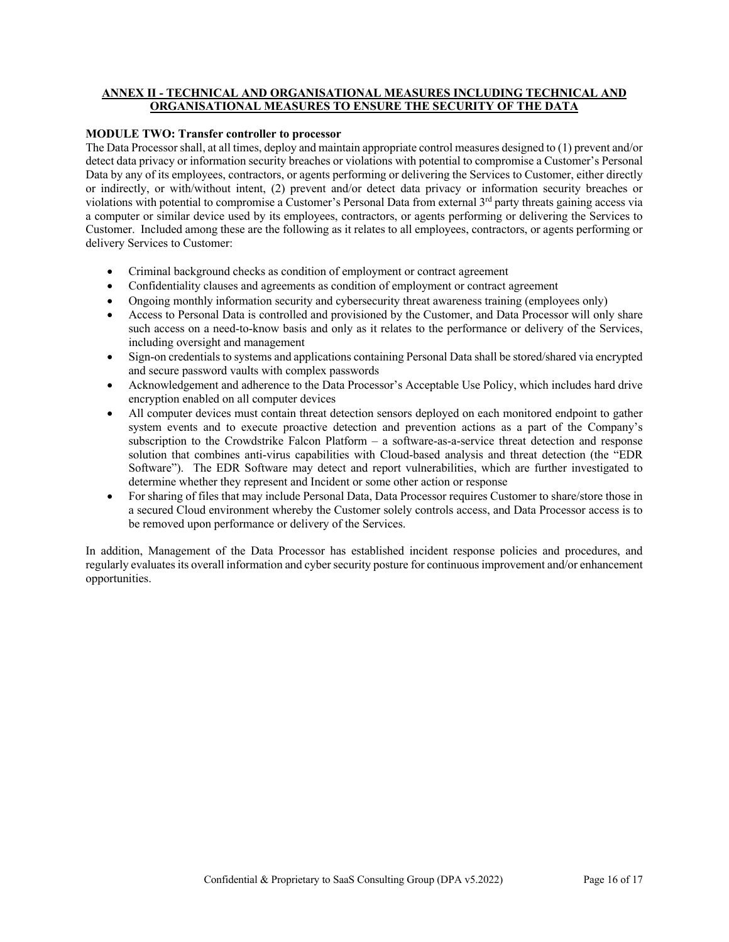# **ANNEX II - TECHNICAL AND ORGANISATIONAL MEASURES INCLUDING TECHNICAL AND ORGANISATIONAL MEASURES TO ENSURE THE SECURITY OF THE DATA**

#### **MODULE TWO: Transfer controller to processor**

The Data Processor shall, at all times, deploy and maintain appropriate control measures designed to (1) prevent and/or detect data privacy or information security breaches or violations with potential to compromise a Customer's Personal Data by any of its employees, contractors, or agents performing or delivering the Services to Customer, either directly or indirectly, or with/without intent, (2) prevent and/or detect data privacy or information security breaches or violations with potential to compromise a Customer's Personal Data from external 3rd party threats gaining access via a computer or similar device used by its employees, contractors, or agents performing or delivering the Services to Customer. Included among these are the following as it relates to all employees, contractors, or agents performing or delivery Services to Customer:

- Criminal background checks as condition of employment or contract agreement
- Confidentiality clauses and agreements as condition of employment or contract agreement
- Ongoing monthly information security and cybersecurity threat awareness training (employees only)
- Access to Personal Data is controlled and provisioned by the Customer, and Data Processor will only share such access on a need-to-know basis and only as it relates to the performance or delivery of the Services, including oversight and management
- Sign-on credentials to systems and applications containing Personal Data shall be stored/shared via encrypted and secure password vaults with complex passwords
- Acknowledgement and adherence to the Data Processor's Acceptable Use Policy, which includes hard drive encryption enabled on all computer devices
- All computer devices must contain threat detection sensors deployed on each monitored endpoint to gather system events and to execute proactive detection and prevention actions as a part of the Company's subscription to the Crowdstrike Falcon Platform – a software-as-a-service threat detection and response solution that combines anti-virus capabilities with Cloud-based analysis and threat detection (the "EDR Software"). The EDR Software may detect and report vulnerabilities, which are further investigated to determine whether they represent and Incident or some other action or response
- For sharing of files that may include Personal Data, Data Processor requires Customer to share/store those in a secured Cloud environment whereby the Customer solely controls access, and Data Processor access is to be removed upon performance or delivery of the Services.

In addition, Management of the Data Processor has established incident response policies and procedures, and regularly evaluates its overall information and cyber security posture for continuous improvement and/or enhancement opportunities.